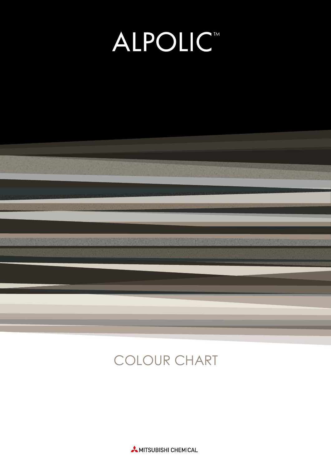# **ALPOLICT**



## COLOUR CHART

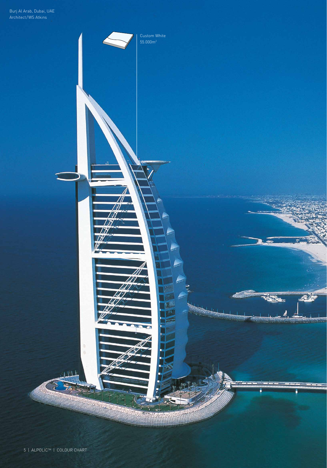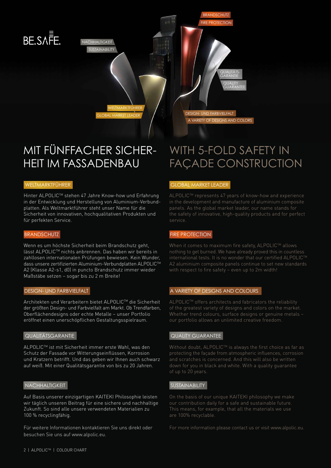## BE.SA<sub>E</sub>

NACHHALTIGKEIT SUSTAINABILITY

WELTMARKTFÜHRER

BRANDSCHUTZ FIRE PROTECTION DESIGN- UND FARBVIELFALT QUALITÄTS-**GARANTIE QUALITY** GUARANTEE

## MIT FÜNFFACHER SICHER-HEIT IM FASSADENBAU

Hinter ALPOLICTM stehen 47 Jahre Know-how und Erfahrung in der Entwicklung und Herstellung von Aluminium-Verbundplatten. Als Weltmarktführer steht unser Name für die Sicherheit von innovativen, hochqualitativen Produkten und für perfekten Service.

Wenn es um höchste Sicherheit beim Brandschutz geht, lässt ALPOLICTM nichts anbrennen. Das haben wir bereits in zahllosen internationalen Prüfungen bewiesen. Kein Wunder, dass unsere zertifizierten Aluminium-Verbundplatten ALPOLICTM A2 (Klasse A2-s1, d0) in puncto Brandschutz immer wieder Maßstäbe setzen – sogar bis zu 2 m Breite!

Architekten und Verarbeitern bietet ALPOLICTM die Sicherheit der größten Design- und Farbvielfalt am Markt. Ob Trendfarben, Oberflächendesigns oder echte Metalle – unser Portfolio eröffnet einen unerschöpflichen Gestaltungsspielraum.

ALPOLICTM ist mit Sicherheit immer erste Wahl, was den Schutz der Fassade vor Witterungseinflüssen, Korrosion und Kratzern betrifft. Und das geben wir Ihnen auch schwarz auf weiß. Mit einer Qualitätsgarantie von bis zu 20 Jahren.

## NACHHALTIGKEIT NACHHALTIGKEIT SUSTAINABILITY

Auf Basis unserer einzigartigen KAITEKI Philosophie leisten wir täglich unseren Beitrag für eine sichere und nachhaltige Zukunft. So sind alle unsere verwendeten Materialien zu 100 % recyclingfähig.

Für weitere Informationen kontaktieren Sie uns direkt oder besuchen Sie uns auf www.alpolic.eu.

## WITH 5-FOLD SAFETY IN FAÇADE CONSTRUCTION

A VARIETY OF DESIGNS AND COLORS

## WELTMARKTFÜHRER GLOBAL MARKET LEADER

ALPOLICTM represents 47 years of know-how and experience panels. As the global market leader, our name stands for service.

## BRANDSCHUTZ **FIRE PROTECTION**

When it comes to maximum fire safety, ALPOLIC™ allows nothing to get burned. We have already proved this in countless international tests. It is no wonder that our certified ALPOLIC™

## DESIGN- UND FARBVIELFALT **A VARIETY OF DESIGNS AND COLOURS**

ALPOLIC™ offers architects and fabricators the reliability our portfolio allows an unlimited creative freedom.

## QUALITÄTSGARANTIE VAN DE STATISTISCHE GUALITY GUARANTEE

Without doubt, ALPOLIC™ is always the first choice as far as protecting the façade from atmospheric influences, corrosion down for you in black and white. With a quality guarantee

On the basis of our unique KAITEKI philosophy we make are 100% recyclable.

For more information please contact us or visit www.alpolic.eu.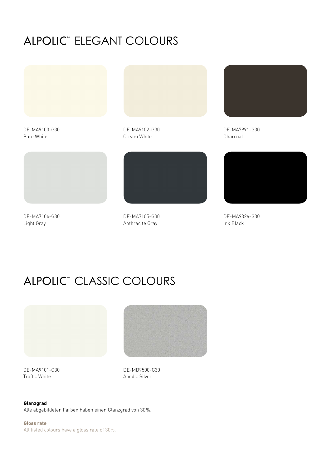## ALPOLIC<sup>®</sup> ELEGANT COLOURS



DE-MA9100-G30 Pure White

DE-MA9102-G30 Cream White



DE-MA7104-G30 Light Gray

DE-MA7105-G30 Anthracite Gray



DE-MA7991-G30 Charcoal



DE-MA9326-G30 Ink Black

## ALPOLIC<sup>®</sup> CLASSIC COLOURS



DE-MA9101-G30 Traffic White

DE-MD9500-G30 Anodic Silver

**Glanzgrad** 

Alle abgebildeten Farben haben einen Glanzgrad von 30%.

**Gloss rate**  All listed colours have a gloss rate of 30%.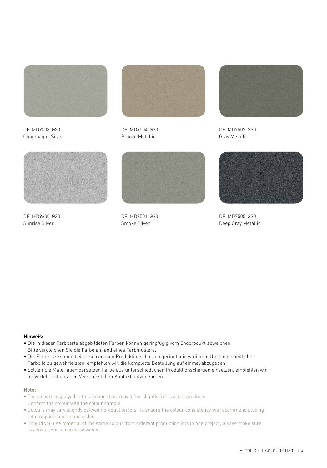

DE-MD9503-G30 Champagne Silver



DE-MD9504-G30 Bronze Metallic



DE-MD7502-G30 Gray Metallic



DE-MD9600-G30 Sunrise Silver



DE-MD9501-G30 Smoke Silver



DE-MD7505-G30 Deep Gray Metallic

## **Hinweis:**

- Die in dieser Farbkarte abgebildeten Farben können geringfügig vom Endprodukt abweichen. Bitte vergleichen Sie die Farbe anhand eines Farbmusters.
- Die Farbtöne können bei verschiedenen Produktionschargen geringfügig variieren. Um ein einheitliches Farbbild zu gewährleisten, empfehlen wir, die komplette Bestellung auf einmal abzugeben.
- Sollten Sie Materialien derselben Farbe aus unterschiedlichen Produktionschargen einsetzen, empfehlen wir, im Vorfeld mit unseren Verkaufsstellen Kontakt aufzunehmen.

### **Note:**

- The colours displayed in this colour chart may differ slightly from actual products. Confirm the colour with the colour sample.
- Colours may vary slightly between production lots. To ensure the colour consistency, we recommend placing total requirement in one order.
- Should you use material of the same colour from different production lots in one project, please make sure to consult our offices in advance.